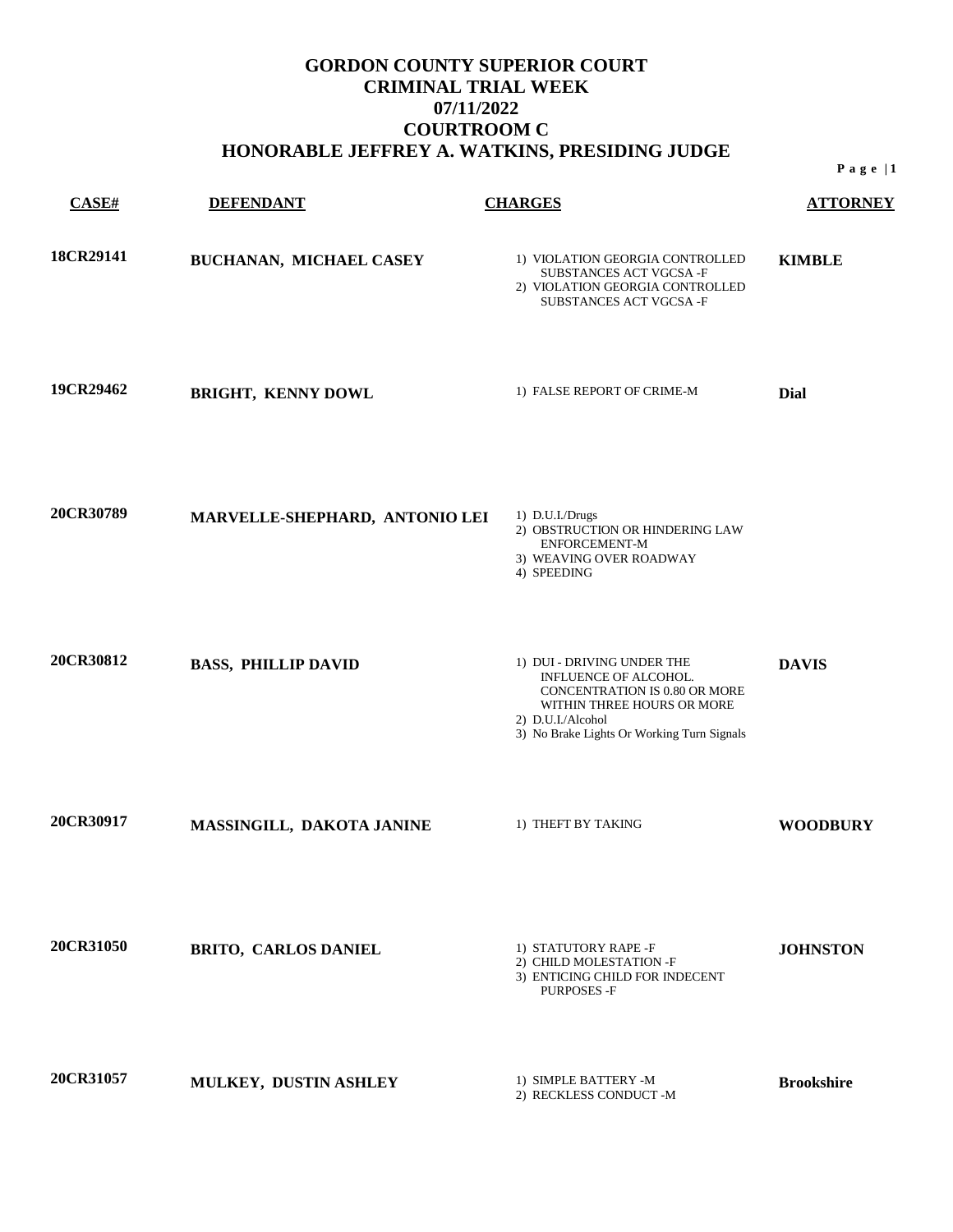| CASE#     | <b>DEFENDANT</b>               | <b>CHARGES</b>                                                                                                                                                                               | <b>ATTORNEY</b>   |
|-----------|--------------------------------|----------------------------------------------------------------------------------------------------------------------------------------------------------------------------------------------|-------------------|
| 18CR29141 | BUCHANAN, MICHAEL CASEY        | 1) VIOLATION GEORGIA CONTROLLED<br>SUBSTANCES ACT VGCSA-F<br>2) VIOLATION GEORGIA CONTROLLED<br>SUBSTANCES ACT VGCSA-F                                                                       | <b>KIMBLE</b>     |
| 19CR29462 | <b>BRIGHT, KENNY DOWL</b>      | 1) FALSE REPORT OF CRIME-M                                                                                                                                                                   | Dial              |
| 20CR30789 | MARVELLE-SHEPHARD, ANTONIO LEI | 1) D.U.I./Drugs<br>2) OBSTRUCTION OR HINDERING LAW<br>ENFORCEMENT-M<br>3) WEAVING OVER ROADWAY<br>4) SPEEDING                                                                                |                   |
| 20CR30812 | <b>BASS, PHILLIP DAVID</b>     | 1) DUI - DRIVING UNDER THE<br>INFLUENCE OF ALCOHOL.<br><b>CONCENTRATION IS 0.80 OR MORE</b><br>WITHIN THREE HOURS OR MORE<br>2) D.U.I./Alcohol<br>3) No Brake Lights Or Working Turn Signals | <b>DAVIS</b>      |
| 20CR30917 | MASSINGILL, DAKOTA JANINE      | 1) THEFT BY TAKING                                                                                                                                                                           | <b>WOODBURY</b>   |
| 20CR31050 | <b>BRITO, CARLOS DANIEL</b>    | 1) STATUTORY RAPE -F<br>2) CHILD MOLESTATION -F<br>3) ENTICING CHILD FOR INDECENT<br><b>PURPOSES -F</b>                                                                                      | <b>JOHNSTON</b>   |
| 20CR31057 | MULKEY, DUSTIN ASHLEY          | 1) SIMPLE BATTERY -M<br>2) RECKLESS CONDUCT -M                                                                                                                                               | <b>Brookshire</b> |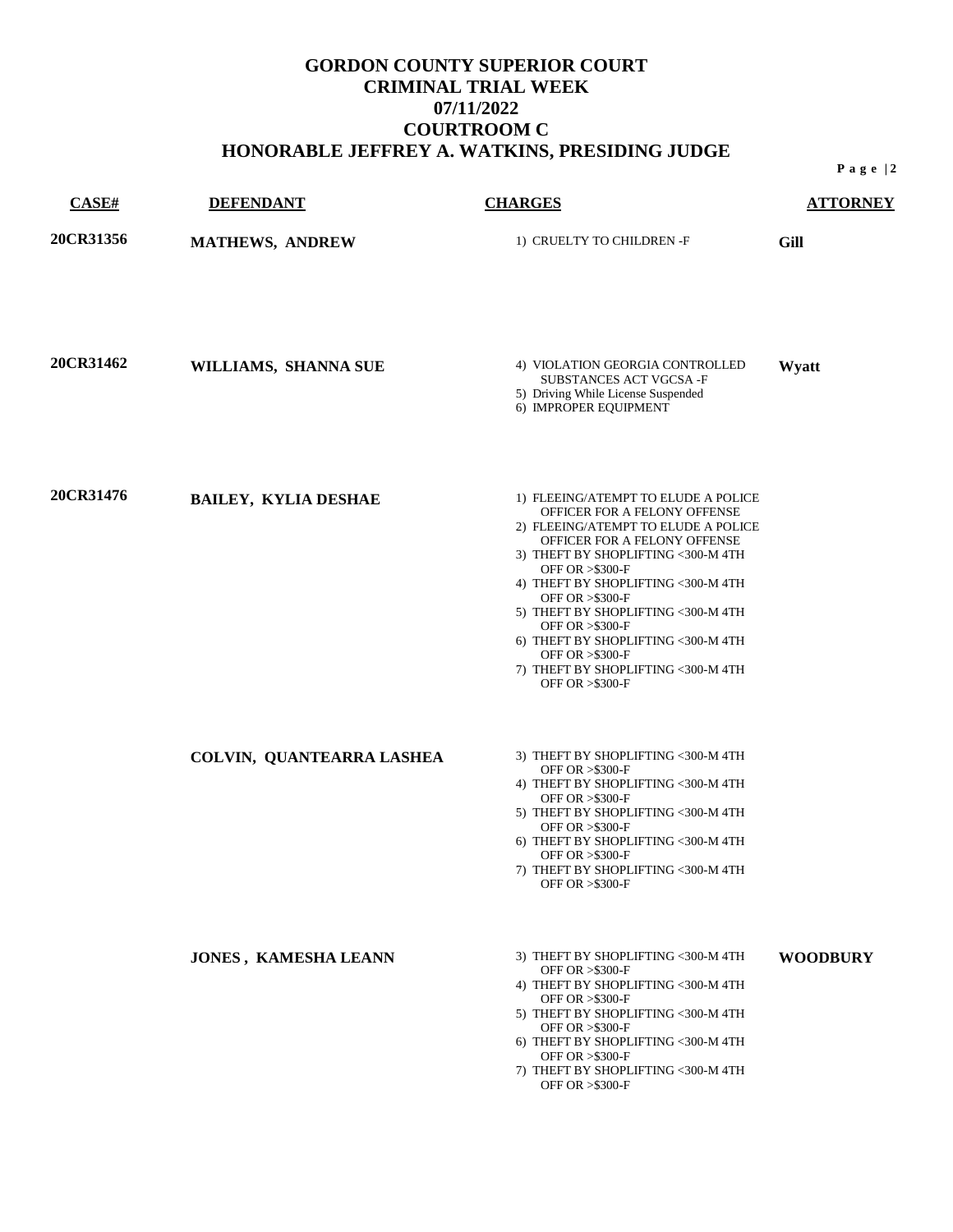| CASE#     | <b>DEFENDANT</b>            | <b>CHARGES</b>                                                                                                                                                                                                                                                                                                                                                                                                                                        | <b>ATTORNEY</b> |
|-----------|-----------------------------|-------------------------------------------------------------------------------------------------------------------------------------------------------------------------------------------------------------------------------------------------------------------------------------------------------------------------------------------------------------------------------------------------------------------------------------------------------|-----------------|
| 20CR31356 | <b>MATHEWS, ANDREW</b>      | 1) CRUELTY TO CHILDREN -F                                                                                                                                                                                                                                                                                                                                                                                                                             | <b>Gill</b>     |
| 20CR31462 | WILLIAMS, SHANNA SUE        | 4) VIOLATION GEORGIA CONTROLLED<br>SUBSTANCES ACT VGCSA-F<br>5) Driving While License Suspended<br>6) IMPROPER EQUIPMENT                                                                                                                                                                                                                                                                                                                              | Wyatt           |
| 20CR31476 | <b>BAILEY, KYLIA DESHAE</b> | 1) FLEEING/ATEMPT TO ELUDE A POLICE<br>OFFICER FOR A FELONY OFFENSE<br>2) FLEEING/ATEMPT TO ELUDE A POLICE<br>OFFICER FOR A FELONY OFFENSE<br>3) THEFT BY SHOPLIFTING <300-M 4TH<br>OFF OR > \$300-F<br>4) THEFT BY SHOPLIFTING <300-M 4TH<br>OFF OR > \$300-F<br>5) THEFT BY SHOPLIFTING <300-M 4TH<br>OFF OR > \$300-F<br>6) THEFT BY SHOPLIFTING <300-M 4TH<br><b>OFF OR &gt;\$300-F</b><br>7) THEFT BY SHOPLIFTING <300-M 4TH<br>OFF OR > \$300-F |                 |
|           | COLVIN, QUANTEARRA LASHEA   | 3) THEFT BY SHOPLIFTING <300-M 4TH<br>OFF OR > \$300-F<br>4) THEFT BY SHOPLIFTING <300-M 4TH<br>OFF OR > \$300-F<br>5) THEFT BY SHOPLIFTING <300-M 4TH<br>OFF OR > \$300-F<br>6) THEFT BY SHOPLIFTING <300-M 4TH<br><b>OFF OR &gt;\$300-F</b><br>7) THEFT BY SHOPLIFTING <300-M 4TH<br>OFF OR > \$300-F                                                                                                                                               |                 |
|           | <b>JONES, KAMESHA LEANN</b> | 3) THEFT BY SHOPLIFTING <300-M 4TH<br><b>OFF OR &gt;\$300-F</b><br>4) THEFT BY SHOPLIFTING <300-M 4TH<br>OFF OR > \$300-F<br>5) THEFT BY SHOPLIFTING <300-M 4TH<br>OFF OR > \$300-F<br>6) THEFT BY SHOPLIFTING <300-M 4TH<br><b>OFF OR &gt;\$300-F</b><br>7) THEFT BY SHOPLIFTING <300-M 4TH<br>OFF OR > \$300-F                                                                                                                                      | <b>WOODBURY</b> |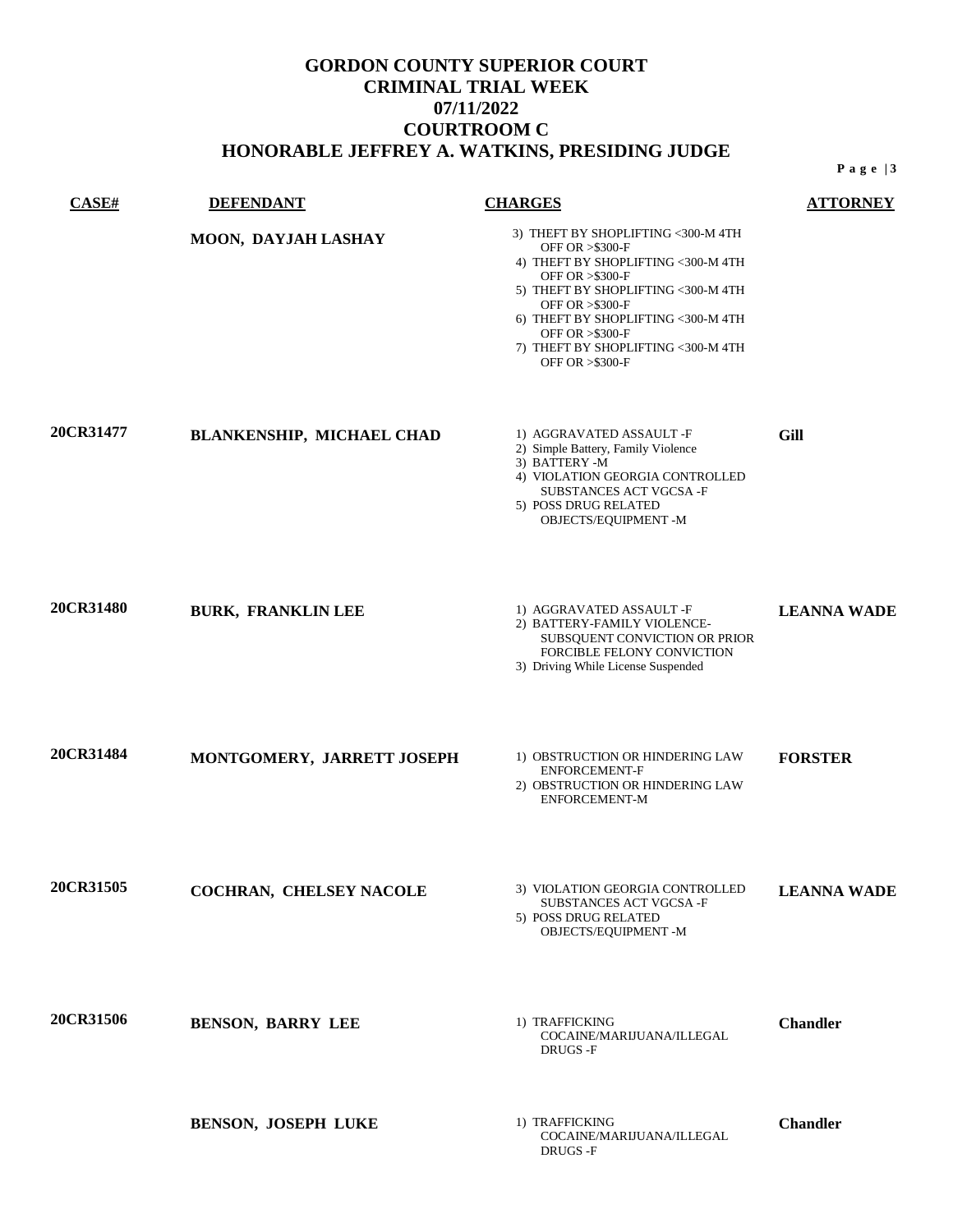| <b>CASE#</b> | <b>DEFENDANT</b>           | <b>CHARGES</b>                                                                                                                                                                                                                                                                                          | <b>ATTORNEY</b>    |
|--------------|----------------------------|---------------------------------------------------------------------------------------------------------------------------------------------------------------------------------------------------------------------------------------------------------------------------------------------------------|--------------------|
|              | MOON, DAYJAH LASHAY        | 3) THEFT BY SHOPLIFTING <300-M 4TH<br>OFF OR > \$300-F<br>4) THEFT BY SHOPLIFTING <300-M 4TH<br><b>OFF OR &gt;\$300-F</b><br>5) THEFT BY SHOPLIFTING <300-M 4TH<br>OFF OR > \$300-F<br>6) THEFT BY SHOPLIFTING <300-M 4TH<br>OFF OR > \$300-F<br>7) THEFT BY SHOPLIFTING <300-M 4TH<br>OFF OR > \$300-F |                    |
| 20CR31477    | BLANKENSHIP, MICHAEL CHAD  | 1) AGGRAVATED ASSAULT -F<br>2) Simple Battery, Family Violence<br>3) BATTERY -M<br>4) VIOLATION GEORGIA CONTROLLED<br>SUBSTANCES ACT VGCSA-F<br>5) POSS DRUG RELATED<br>OBJECTS/EQUIPMENT -M                                                                                                            | <b>Gill</b>        |
| 20CR31480    | <b>BURK, FRANKLIN LEE</b>  | 1) AGGRAVATED ASSAULT -F<br>2) BATTERY-FAMILY VIOLENCE-<br>SUBSQUENT CONVICTION OR PRIOR<br>FORCIBLE FELONY CONVICTION<br>3) Driving While License Suspended                                                                                                                                            | <b>LEANNA WADE</b> |
| 20CR31484    | MONTGOMERY, JARRETT JOSEPH | 1) OBSTRUCTION OR HINDERING LAW<br><b>ENFORCEMENT-F</b><br>2) OBSTRUCTION OR HINDERING LAW<br>ENFORCEMENT-M                                                                                                                                                                                             | <b>FORSTER</b>     |
| 20CR31505    | COCHRAN, CHELSEY NACOLE    | 3) VIOLATION GEORGIA CONTROLLED<br>SUBSTANCES ACT VGCSA-F<br>5) POSS DRUG RELATED<br>OBJECTS/EQUIPMENT -M                                                                                                                                                                                               | <b>LEANNA WADE</b> |
| 20CR31506    | <b>BENSON, BARRY LEE</b>   | 1) TRAFFICKING<br>COCAINE/MARIJUANA/ILLEGAL<br>DRUGS-F                                                                                                                                                                                                                                                  | <b>Chandler</b>    |
|              | <b>BENSON, JOSEPH LUKE</b> | 1) TRAFFICKING<br>COCAINE/MARIJUANA/ILLEGAL<br>DRUGS-F                                                                                                                                                                                                                                                  | <b>Chandler</b>    |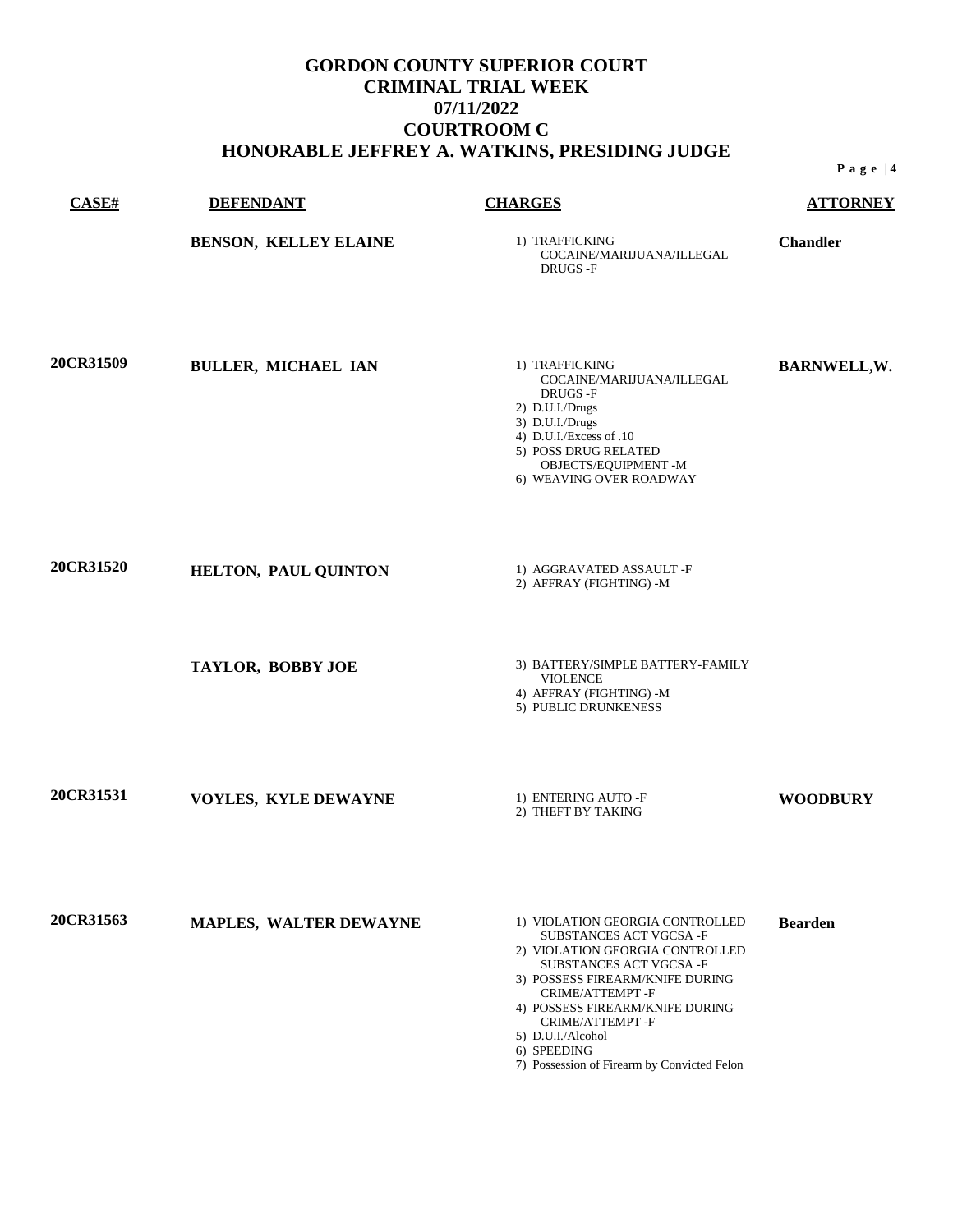**P a g e | 4**

| CASE#            | <b>DEFENDANT</b>       | <b>CHARGES</b>                                                                                                                                                                                                                                                         | <b>ATTORNEY</b>     |
|------------------|------------------------|------------------------------------------------------------------------------------------------------------------------------------------------------------------------------------------------------------------------------------------------------------------------|---------------------|
|                  | BENSON, KELLEY ELAINE  | 1) TRAFFICKING<br>COCAINE/MARIJUANA/ILLEGAL<br><b>DRUGS-F</b>                                                                                                                                                                                                          | <b>Chandler</b>     |
| <b>20CR31509</b> | BULLER, MICHAEL IAN    | 1) TRAFFICKING<br>COCAINE/MARIJUANA/ILLEGAL<br>DRUGS-F<br>2) D.U.I./Drugs<br>3) D.U.I./Drugs<br>4) D.U.I./Excess of .10<br>5) POSS DRUG RELATED<br>OBJECTS/EQUIPMENT -M<br>6) WEAVING OVER ROADWAY                                                                     | <b>BARNWELL, W.</b> |
| <b>20CR31520</b> | HELTON, PAUL QUINTON   | 1) AGGRAVATED ASSAULT -F<br>2) AFFRAY (FIGHTING) -M                                                                                                                                                                                                                    |                     |
|                  | TAYLOR, BOBBY JOE      | 3) BATTERY/SIMPLE BATTERY-FAMILY<br><b>VIOLENCE</b><br>4) AFFRAY (FIGHTING) -M<br>5) PUBLIC DRUNKENESS                                                                                                                                                                 |                     |
| 20CR31531        | VOYLES, KYLE DEWAYNE   | 1) ENTERING AUTO -F<br>2) THEFT BY TAKING                                                                                                                                                                                                                              | <b>WOODBURY</b>     |
| 20CR31563        | MAPLES, WALTER DEWAYNE | 1) VIOLATION GEORGIA CONTROLLED<br>SUBSTANCES ACT VGCSA-F<br>2) VIOLATION GEORGIA CONTROLLED<br>SUBSTANCES ACT VGCSA-F<br>3) POSSESS FIREARM/KNIFE DURING<br>CRIME/ATTEMPT-F<br>4) POSSESS FIREARM/KNIFE DURING<br>CRIME/ATTEMPT-F<br>5) D.U.I./Alcohol<br>6) SPEEDING | <b>Bearden</b>      |

7) Possession of Firearm by Convicted Felon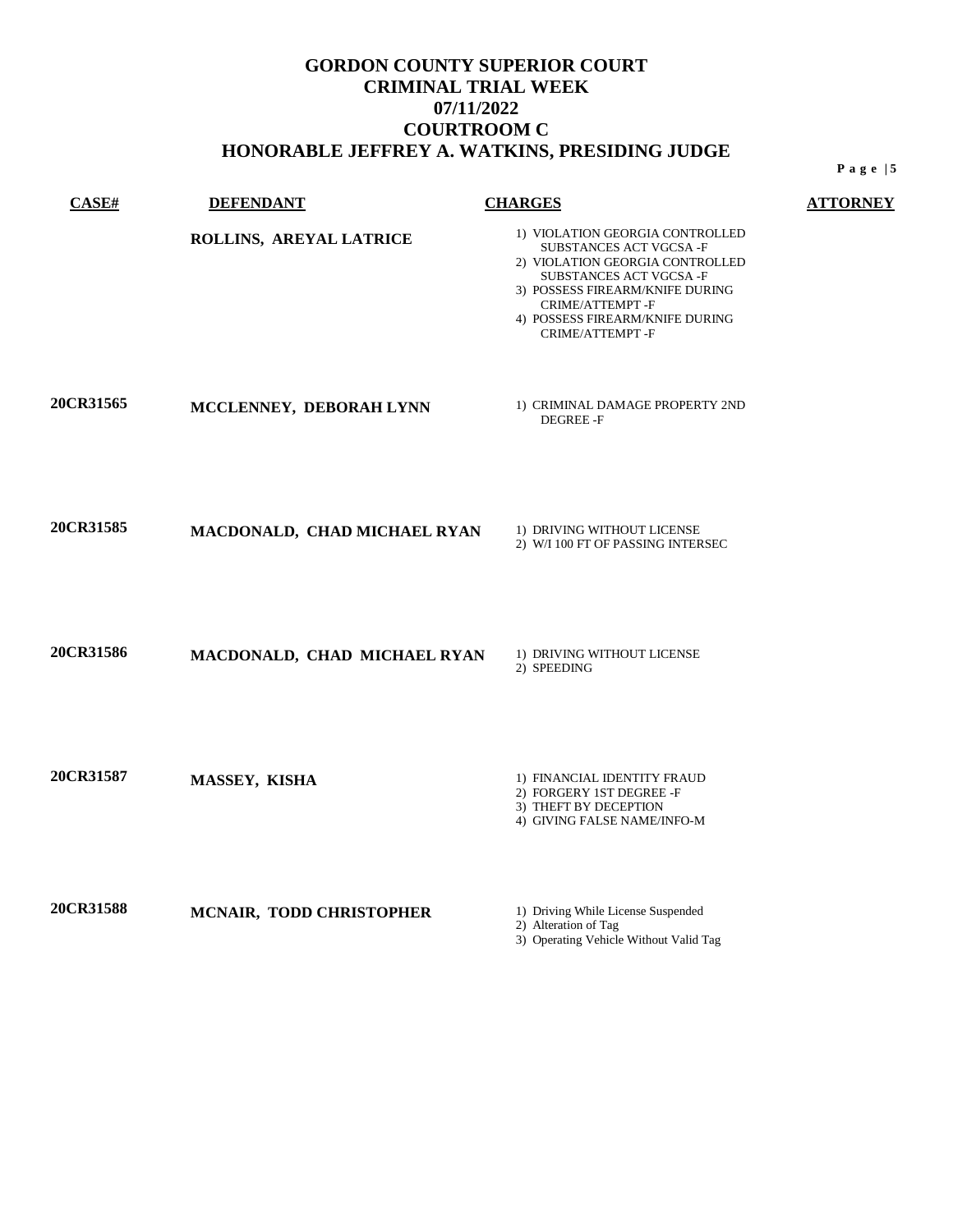| <b>CASE#</b>     | <b>DEFENDANT</b>             | <b>CHARGES</b>                                                                                                                                                                                                                     | <b>ATTORNEY</b> |
|------------------|------------------------------|------------------------------------------------------------------------------------------------------------------------------------------------------------------------------------------------------------------------------------|-----------------|
|                  | ROLLINS, AREYAL LATRICE      | 1) VIOLATION GEORGIA CONTROLLED<br>SUBSTANCES ACT VGCSA-F<br>2) VIOLATION GEORGIA CONTROLLED<br>SUBSTANCES ACT VGCSA-F<br>3) POSSESS FIREARM/KNIFE DURING<br>CRIME/ATTEMPT-F<br>4) POSSESS FIREARM/KNIFE DURING<br>CRIME/ATTEMPT-F |                 |
| 20CR31565        | MCCLENNEY, DEBORAH LYNN      | 1) CRIMINAL DAMAGE PROPERTY 2ND<br><b>DEGREE-F</b>                                                                                                                                                                                 |                 |
| 20CR31585        | MACDONALD, CHAD MICHAEL RYAN | 1) DRIVING WITHOUT LICENSE<br>2) W/I 100 FT OF PASSING INTERSEC                                                                                                                                                                    |                 |
| <b>20CR31586</b> | MACDONALD, CHAD MICHAEL RYAN | 1) DRIVING WITHOUT LICENSE<br>2) SPEEDING                                                                                                                                                                                          |                 |
| 20CR31587        | MASSEY, KISHA                | 1) FINANCIAL IDENTITY FRAUD<br>2) FORGERY 1ST DEGREE -F<br>3) THEFT BY DECEPTION<br>4) GIVING FALSE NAME/INFO-M                                                                                                                    |                 |
| 20CR31588        | MCNAIR, TODD CHRISTOPHER     | 1) Driving While License Suspended<br>2) Alteration of Tag<br>3) Operating Vehicle Without Valid Tag                                                                                                                               |                 |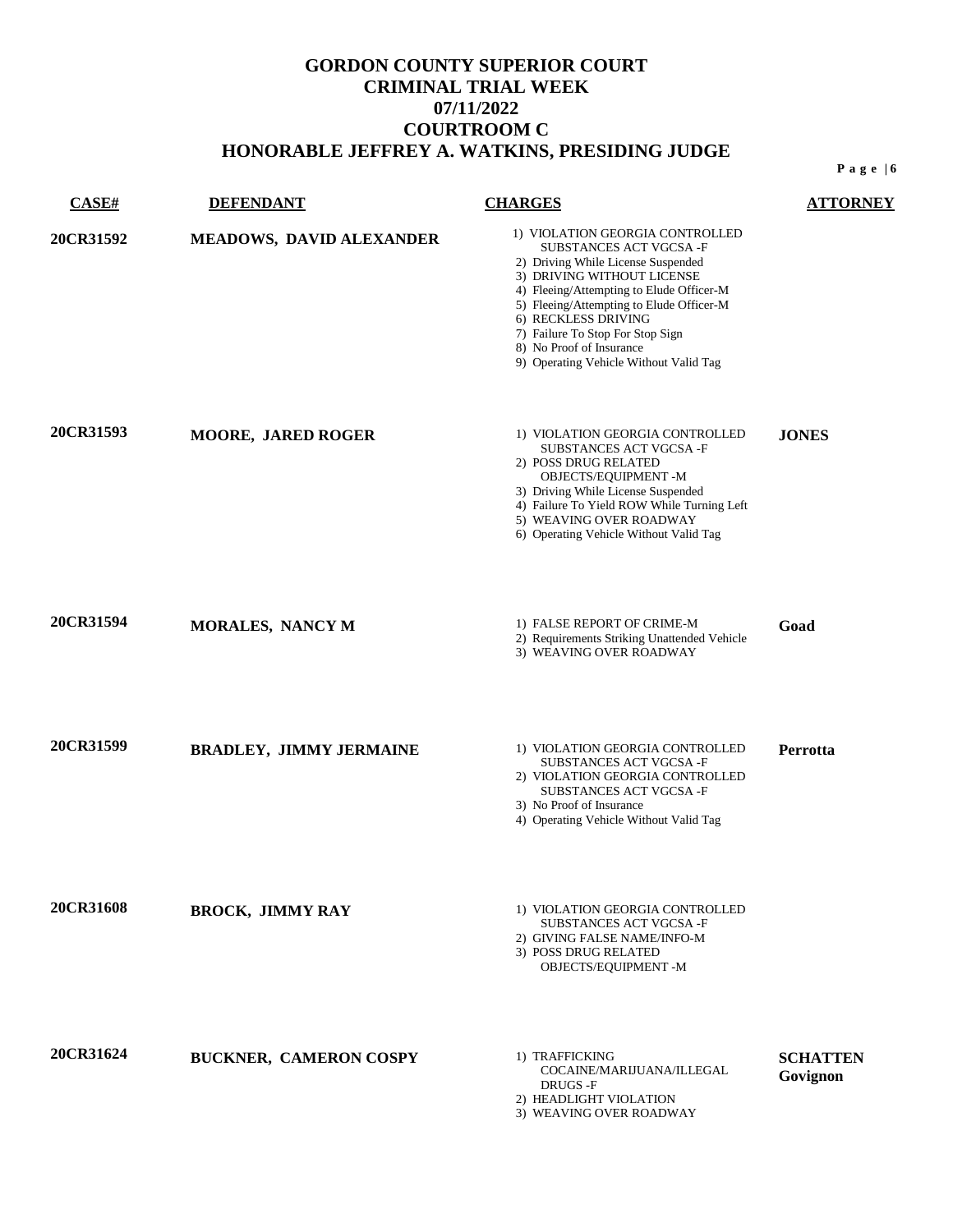| CASE#     | <b>DEFENDANT</b>                | <b>CHARGES</b>                                                                                                                                                                                                                                                                                                                                          | <b>ATTORNEY</b>             |
|-----------|---------------------------------|---------------------------------------------------------------------------------------------------------------------------------------------------------------------------------------------------------------------------------------------------------------------------------------------------------------------------------------------------------|-----------------------------|
| 20CR31592 | <b>MEADOWS, DAVID ALEXANDER</b> | 1) VIOLATION GEORGIA CONTROLLED<br>SUBSTANCES ACT VGCSA -F<br>2) Driving While License Suspended<br>3) DRIVING WITHOUT LICENSE<br>4) Fleeing/Attempting to Elude Officer-M<br>5) Fleeing/Attempting to Elude Officer-M<br>6) RECKLESS DRIVING<br>7) Failure To Stop For Stop Sign<br>8) No Proof of Insurance<br>9) Operating Vehicle Without Valid Tag |                             |
| 20CR31593 | <b>MOORE, JARED ROGER</b>       | 1) VIOLATION GEORGIA CONTROLLED<br>SUBSTANCES ACT VGCSA-F<br>2) POSS DRUG RELATED<br>OBJECTS/EQUIPMENT -M<br>3) Driving While License Suspended<br>4) Failure To Yield ROW While Turning Left<br>5) WEAVING OVER ROADWAY<br>6) Operating Vehicle Without Valid Tag                                                                                      | <b>JONES</b>                |
| 20CR31594 | <b>MORALES, NANCY M</b>         | 1) FALSE REPORT OF CRIME-M<br>2) Requirements Striking Unattended Vehicle<br>3) WEAVING OVER ROADWAY                                                                                                                                                                                                                                                    | Goad                        |
| 20CR31599 | <b>BRADLEY, JIMMY JERMAINE</b>  | 1) VIOLATION GEORGIA CONTROLLED<br>SUBSTANCES ACT VGCSA-F<br>2) VIOLATION GEORGIA CONTROLLED<br>SUBSTANCES ACT VGCSA-F<br>3) No Proof of Insurance<br>4) Operating Vehicle Without Valid Tag                                                                                                                                                            | Perrotta                    |
| 20CR31608 | <b>BROCK, JIMMY RAY</b>         | 1) VIOLATION GEORGIA CONTROLLED<br>SUBSTANCES ACT VGCSA-F<br>2) GIVING FALSE NAME/INFO-M<br>3) POSS DRUG RELATED<br>OBJECTS/EQUIPMENT -M                                                                                                                                                                                                                |                             |
| 20CR31624 | BUCKNER, CAMERON COSPY          | 1) TRAFFICKING<br>COCAINE/MARIJUANA/ILLEGAL<br>DRUGS -F<br>2) HEADLIGHT VIOLATION<br>3) WEAVING OVER ROADWAY                                                                                                                                                                                                                                            | <b>SCHATTEN</b><br>Govignon |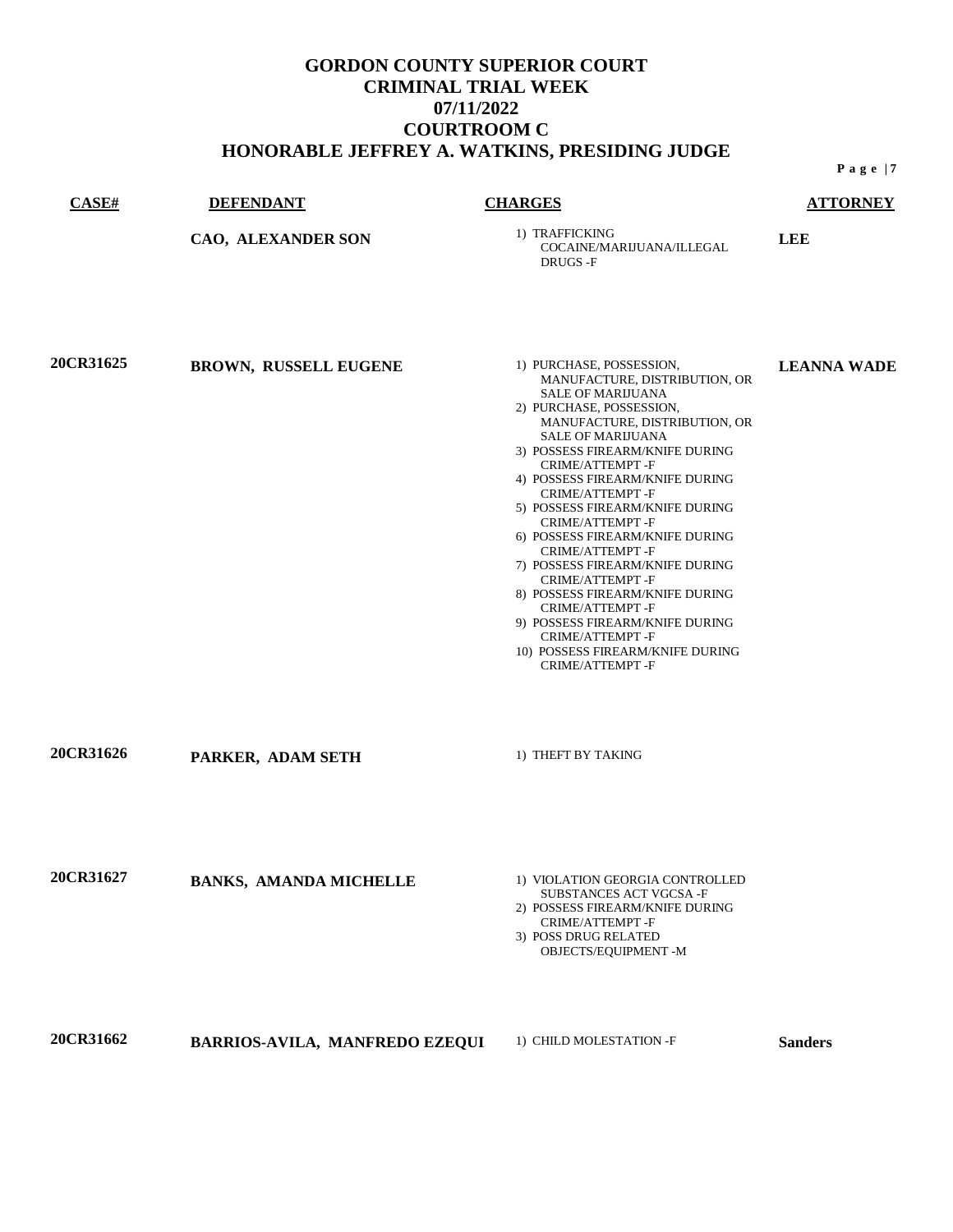| CASE#            | <b>DEFENDANT</b>                      | <b>CHARGES</b>                                                                                                                                                                                                                                                                                                                                                                                                                                                                                                                                                                                                                  | <b>ATTORNEY</b>    |
|------------------|---------------------------------------|---------------------------------------------------------------------------------------------------------------------------------------------------------------------------------------------------------------------------------------------------------------------------------------------------------------------------------------------------------------------------------------------------------------------------------------------------------------------------------------------------------------------------------------------------------------------------------------------------------------------------------|--------------------|
|                  | CAO, ALEXANDER SON                    | 1) TRAFFICKING<br>COCAINE/MARIJUANA/ILLEGAL<br>DRUGS-F                                                                                                                                                                                                                                                                                                                                                                                                                                                                                                                                                                          | <b>LEE</b>         |
| <b>20CR31625</b> | BROWN, RUSSELL EUGENE                 | 1) PURCHASE, POSSESSION,<br>MANUFACTURE, DISTRIBUTION, OR<br><b>SALE OF MARIJUANA</b><br>2) PURCHASE, POSSESSION,<br>MANUFACTURE, DISTRIBUTION, OR<br><b>SALE OF MARIJUANA</b><br>3) POSSESS FIREARM/KNIFE DURING<br>CRIME/ATTEMPT-F<br>4) POSSESS FIREARM/KNIFE DURING<br>CRIME/ATTEMPT-F<br>5) POSSESS FIREARM/KNIFE DURING<br>CRIME/ATTEMPT-F<br>6) POSSESS FIREARM/KNIFE DURING<br>CRIME/ATTEMPT-F<br>7) POSSESS FIREARM/KNIFE DURING<br>CRIME/ATTEMPT-F<br>8) POSSESS FIREARM/KNIFE DURING<br>CRIME/ATTEMPT-F<br>9) POSSESS FIREARM/KNIFE DURING<br>CRIME/ATTEMPT-F<br>10) POSSESS FIREARM/KNIFE DURING<br>CRIME/ATTEMPT-F | <b>LEANNA WADE</b> |
| <b>20CR31626</b> | PARKER, ADAM SETH                     | 1) THEFT BY TAKING                                                                                                                                                                                                                                                                                                                                                                                                                                                                                                                                                                                                              |                    |
| <b>20CR31627</b> | <b>BANKS, AMANDA MICHELLE</b>         | 1) VIOLATION GEORGIA CONTROLLED<br>SUBSTANCES ACT VGCSA-F<br>2) POSSESS FIREARM/KNIFE DURING<br>CRIME/ATTEMPT-F<br>3) POSS DRUG RELATED<br>OBJECTS/EQUIPMENT -M                                                                                                                                                                                                                                                                                                                                                                                                                                                                 |                    |
| 20CR31662        | <b>BARRIOS-AVILA, MANFREDO EZEQUI</b> | 1) CHILD MOLESTATION -F                                                                                                                                                                                                                                                                                                                                                                                                                                                                                                                                                                                                         | <b>Sanders</b>     |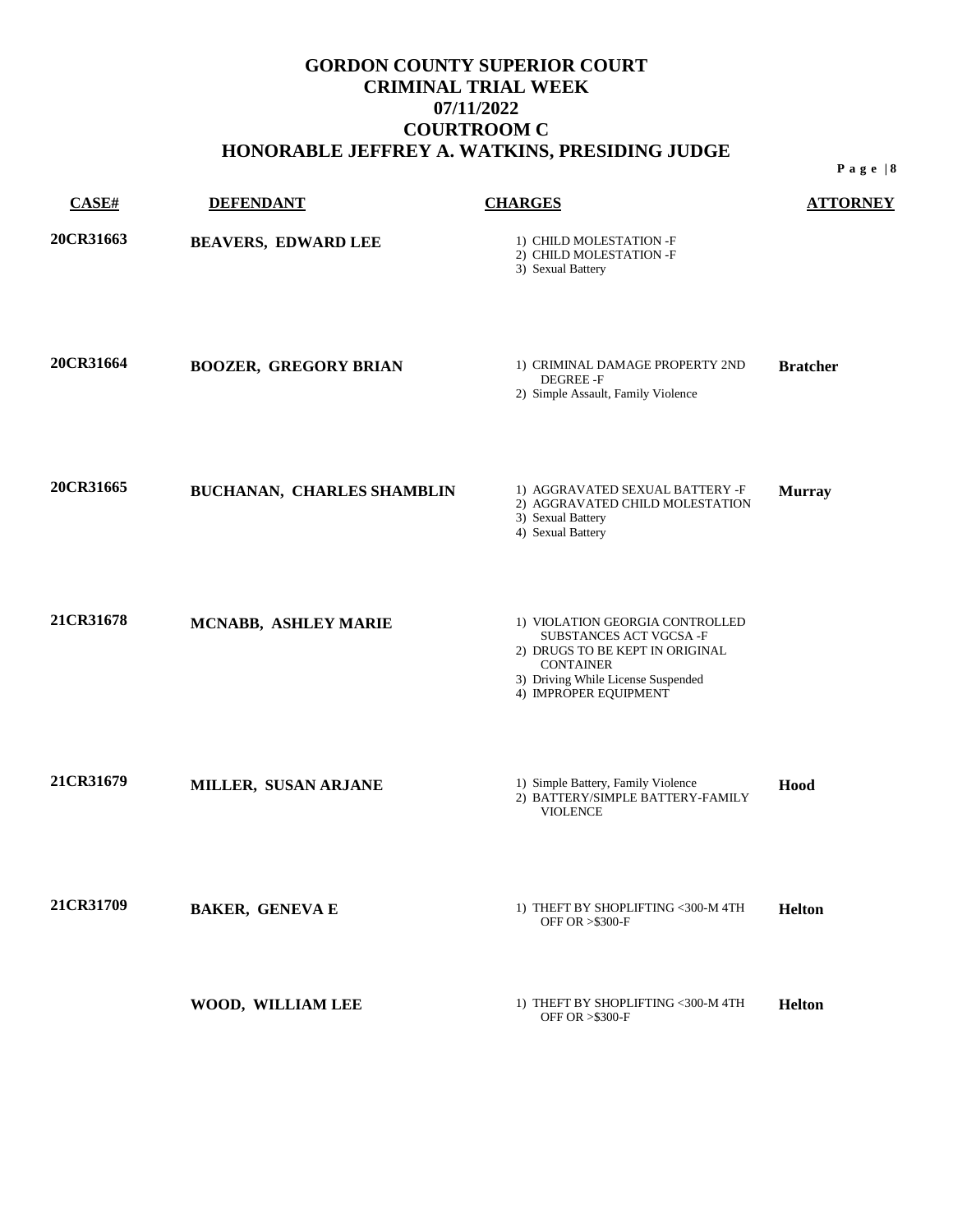| CASE#            | <b>DEFENDANT</b>             | <b>CHARGES</b>                                                                                                                                                                  | <b>ATTORNEY</b> |
|------------------|------------------------------|---------------------------------------------------------------------------------------------------------------------------------------------------------------------------------|-----------------|
| <b>20CR31663</b> | <b>BEAVERS, EDWARD LEE</b>   | 1) CHILD MOLESTATION -F<br>2) CHILD MOLESTATION -F<br>3) Sexual Battery                                                                                                         |                 |
| 20CR31664        | <b>BOOZER, GREGORY BRIAN</b> | 1) CRIMINAL DAMAGE PROPERTY 2ND<br><b>DEGREE-F</b><br>2) Simple Assault, Family Violence                                                                                        | <b>Bratcher</b> |
| 20CR31665        | BUCHANAN, CHARLES SHAMBLIN   | 1) AGGRAVATED SEXUAL BATTERY -F<br>2) AGGRAVATED CHILD MOLESTATION<br>3) Sexual Battery<br>4) Sexual Battery                                                                    | <b>Murray</b>   |
| <b>21CR31678</b> | MCNABB, ASHLEY MARIE         | 1) VIOLATION GEORGIA CONTROLLED<br>SUBSTANCES ACT VGCSA-F<br>2) DRUGS TO BE KEPT IN ORIGINAL<br><b>CONTAINER</b><br>3) Driving While License Suspended<br>4) IMPROPER EQUIPMENT |                 |
| <b>21CR31679</b> | MILLER, SUSAN ARJANE         | 1) Simple Battery, Family Violence<br>2) BATTERY/SIMPLE BATTERY-FAMILY<br><b>VIOLENCE</b>                                                                                       | Hood            |
| 21CR31709        | <b>BAKER, GENEVA E</b>       | 1) THEFT BY SHOPLIFTING <300-M 4TH<br>OFF OR > \$300-F                                                                                                                          | <b>Helton</b>   |
|                  | WOOD, WILLIAM LEE            | 1) THEFT BY SHOPLIFTING <300-M 4TH<br>OFF OR > \$300-F                                                                                                                          | <b>Helton</b>   |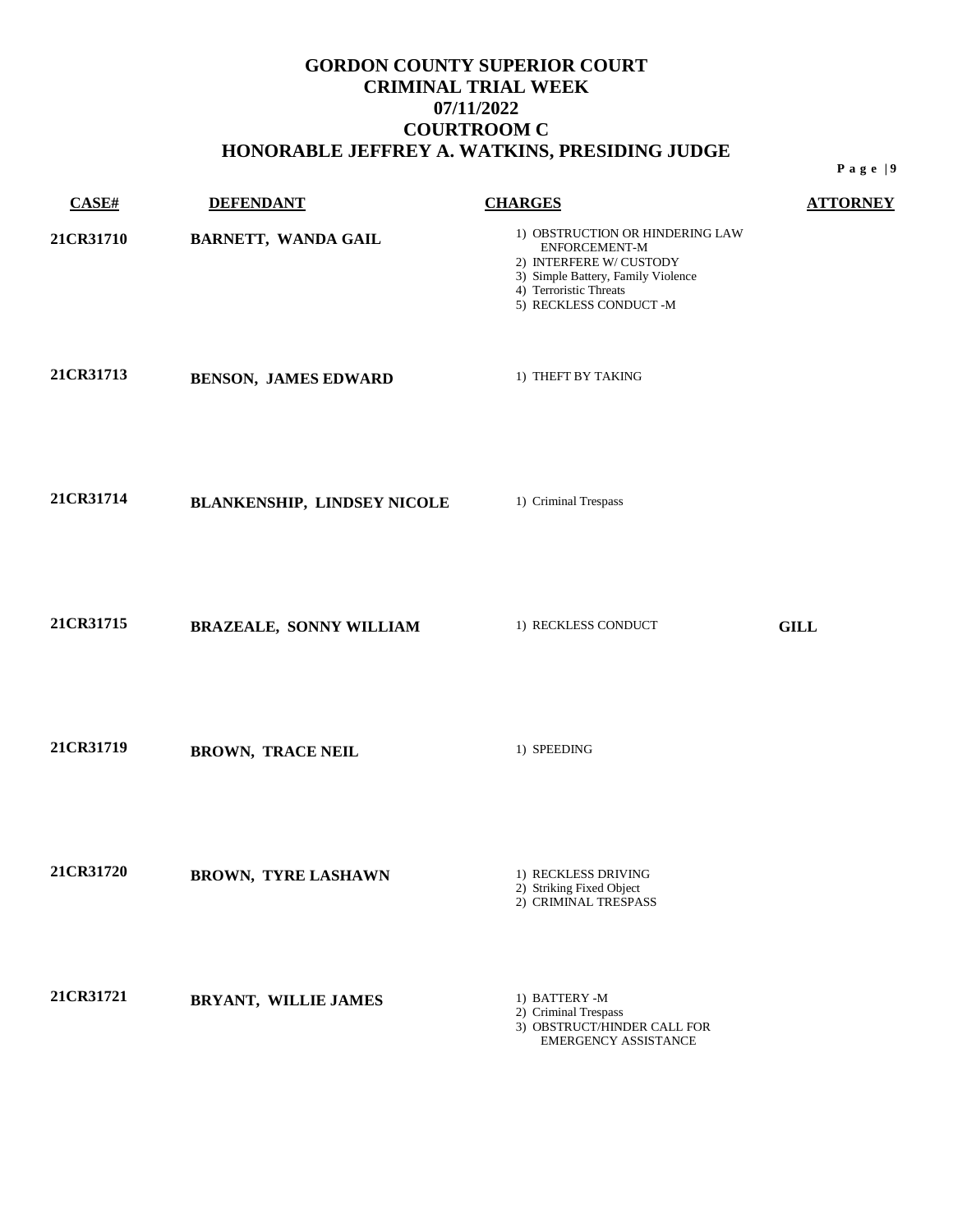| CASE#     | <b>DEFENDANT</b>               | <b>CHARGES</b>                                                                                                                                                        | <b>ATTORNEY</b> |
|-----------|--------------------------------|-----------------------------------------------------------------------------------------------------------------------------------------------------------------------|-----------------|
| 21CR31710 | <b>BARNETT, WANDA GAIL</b>     | 1) OBSTRUCTION OR HINDERING LAW<br>ENFORCEMENT-M<br>2) INTERFERE W/ CUSTODY<br>3) Simple Battery, Family Violence<br>4) Terroristic Threats<br>5) RECKLESS CONDUCT -M |                 |
| 21CR31713 | <b>BENSON, JAMES EDWARD</b>    | 1) THEFT BY TAKING                                                                                                                                                    |                 |
| 21CR31714 | BLANKENSHIP, LINDSEY NICOLE    | 1) Criminal Trespass                                                                                                                                                  |                 |
| 21CR31715 | <b>BRAZEALE, SONNY WILLIAM</b> | 1) RECKLESS CONDUCT                                                                                                                                                   | <b>GILL</b>     |
| 21CR31719 | <b>BROWN, TRACE NEIL</b>       | 1) SPEEDING                                                                                                                                                           |                 |
| 21CR31720 | <b>BROWN, TYRE LASHAWN</b>     | 1) RECKLESS DRIVING<br>2) Striking Fixed Object<br>2) CRIMINAL TRESPASS                                                                                               |                 |
| 21CR31721 | BRYANT, WILLIE JAMES           | 1) BATTERY -M<br>2) Criminal Trespass<br>3) OBSTRUCT/HINDER CALL FOR<br>EMERGENCY ASSISTANCE                                                                          |                 |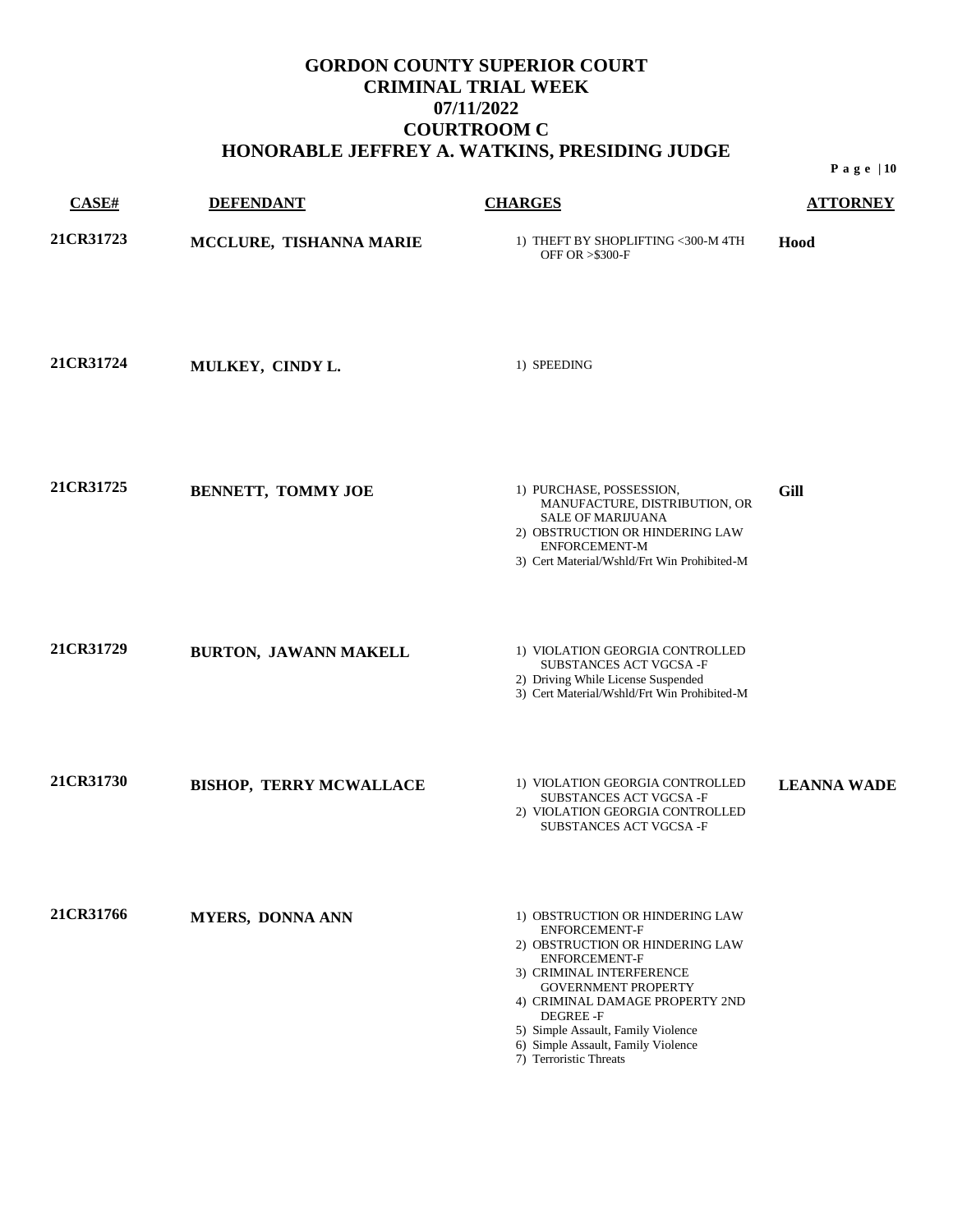|           |                                |                                                                                                                                                                                                                                                                          | Page $ 10$         |
|-----------|--------------------------------|--------------------------------------------------------------------------------------------------------------------------------------------------------------------------------------------------------------------------------------------------------------------------|--------------------|
| CASE#     | <b>DEFENDANT</b>               | <b>CHARGES</b>                                                                                                                                                                                                                                                           | <b>ATTORNEY</b>    |
| 21CR31723 | MCCLURE, TISHANNA MARIE        | 1) THEFT BY SHOPLIFTING <300-M 4TH<br>OFF OR > \$300-F                                                                                                                                                                                                                   | Hood               |
| 21CR31724 | MULKEY, CINDY L.               | 1) SPEEDING                                                                                                                                                                                                                                                              |                    |
| 21CR31725 | BENNETT, TOMMY JOE             | 1) PURCHASE, POSSESSION,<br>MANUFACTURE, DISTRIBUTION, OR<br><b>SALE OF MARIJUANA</b><br>2) OBSTRUCTION OR HINDERING LAW<br>ENFORCEMENT-M<br>3) Cert Material/Wshld/Frt Win Prohibited-M                                                                                 | <b>Gill</b>        |
| 21CR31729 | BURTON, JAWANN MAKELL          | 1) VIOLATION GEORGIA CONTROLLED<br>SUBSTANCES ACT VGCSA-F<br>2) Driving While License Suspended<br>3) Cert Material/Wshld/Frt Win Prohibited-M                                                                                                                           |                    |
| 21CR31730 | <b>BISHOP, TERRY MCWALLACE</b> | 1) VIOLATION GEORGIA CONTROLLED<br>SUBSTANCES ACT VGCSA-F<br>2) VIOLATION GEORGIA CONTROLLED<br>SUBSTANCES ACT VGCSA-F                                                                                                                                                   | <b>LEANNA WADE</b> |
| 21CR31766 | <b>MYERS, DONNA ANN</b>        | 1) OBSTRUCTION OR HINDERING LAW<br><b>ENFORCEMENT-F</b><br>2) OBSTRUCTION OR HINDERING LAW<br><b>ENFORCEMENT-F</b><br>3) CRIMINAL INTERFERENCE<br><b>GOVERNMENT PROPERTY</b><br>4) CRIMINAL DAMAGE PROPERTY 2ND<br><b>DEGREE-F</b><br>5) Simple Assault, Family Violence |                    |

- 6) Simple Assault, Family Violence
- 7) Terroristic Threats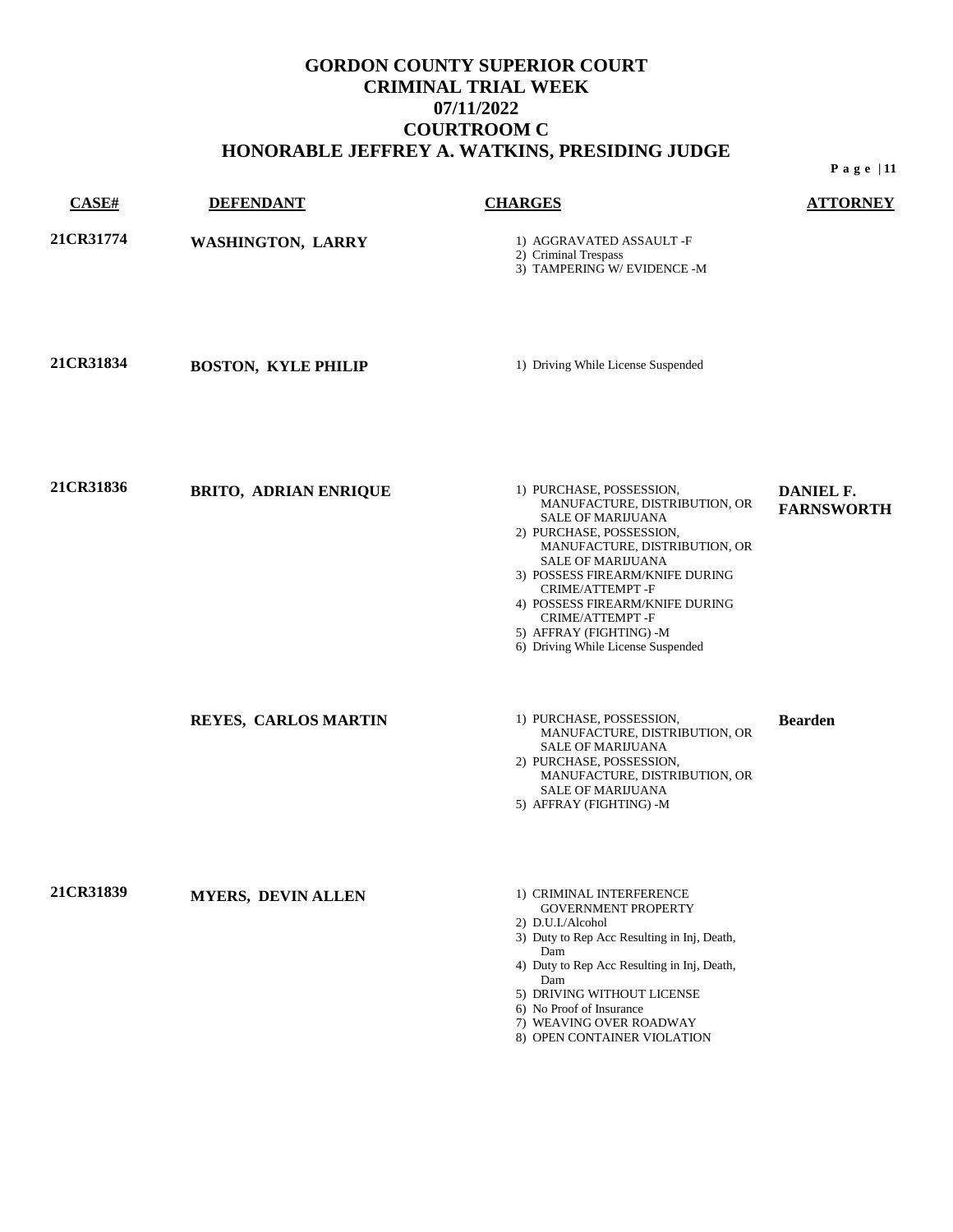| <b>CASE#</b>     | <b>DEFENDANT</b>             | <b>CHARGES</b>                                                                                                                                                                 | <b>ATTORNEY</b>                |
|------------------|------------------------------|--------------------------------------------------------------------------------------------------------------------------------------------------------------------------------|--------------------------------|
| <b>21CR31774</b> | <b>WASHINGTON, LARRY</b>     | 1) AGGRAVATED ASSAULT -F<br>2) Criminal Trespass<br>3) TAMPERING W/ EVIDENCE -M                                                                                                |                                |
| <b>21CR31834</b> | <b>BOSTON, KYLE PHILIP</b>   | 1) Driving While License Suspended                                                                                                                                             |                                |
| <b>21CR31836</b> | <b>BRITO, ADRIAN ENRIQUE</b> | 1) PURCHASE, POSSESSION,<br>MANUFACTURE, DISTRIBUTION, OR<br><b>SALE OF MARIJUANA</b><br>2) PURCHASE, POSSESSION,<br>MANUFACTURE, DISTRIBUTION, OR<br><b>SALE OF MARIJUANA</b> | DANIEL F.<br><b>FARNSWORTH</b> |

**P a g e | 11**

6) Driving While License Suspended REYES, CARLOS MARTIN 1) PURCHASE, POSSESSION, MANUFACTURE, DISTRIBUTION, OR SALE OF MARIJUANA 2) PURCHASE, POSSESSION, MANUFACTURE, DISTRIBUTION, OR SALE OF MARIJUANA 5) AFFRAY (FIGHTING) -M **Bearden 21CR31839 MYERS, DEVIN ALLEN** 1) CRIMINAL INTERFERENCE GOVERNMENT PROPERTY 2) D.U.I./Alcohol 3) Duty to Rep Acc Resulting in Inj, Death, Dam 4) Duty to Rep Acc Resulting in Inj, Death, Dam

5) DRIVING WITHOUT LICENSE

3) POSSESS FIREARM/KNIFE DURING

CRIME/ATTEMPT -F 4) POSSESS FIREARM/KNIFE DURING CRIME/ATTEMPT -F 5) AFFRAY (FIGHTING) -M

- 6) No Proof of Insurance
- 7) WEAVING OVER ROADWAY
- 8) OPEN CONTAINER VIOLATION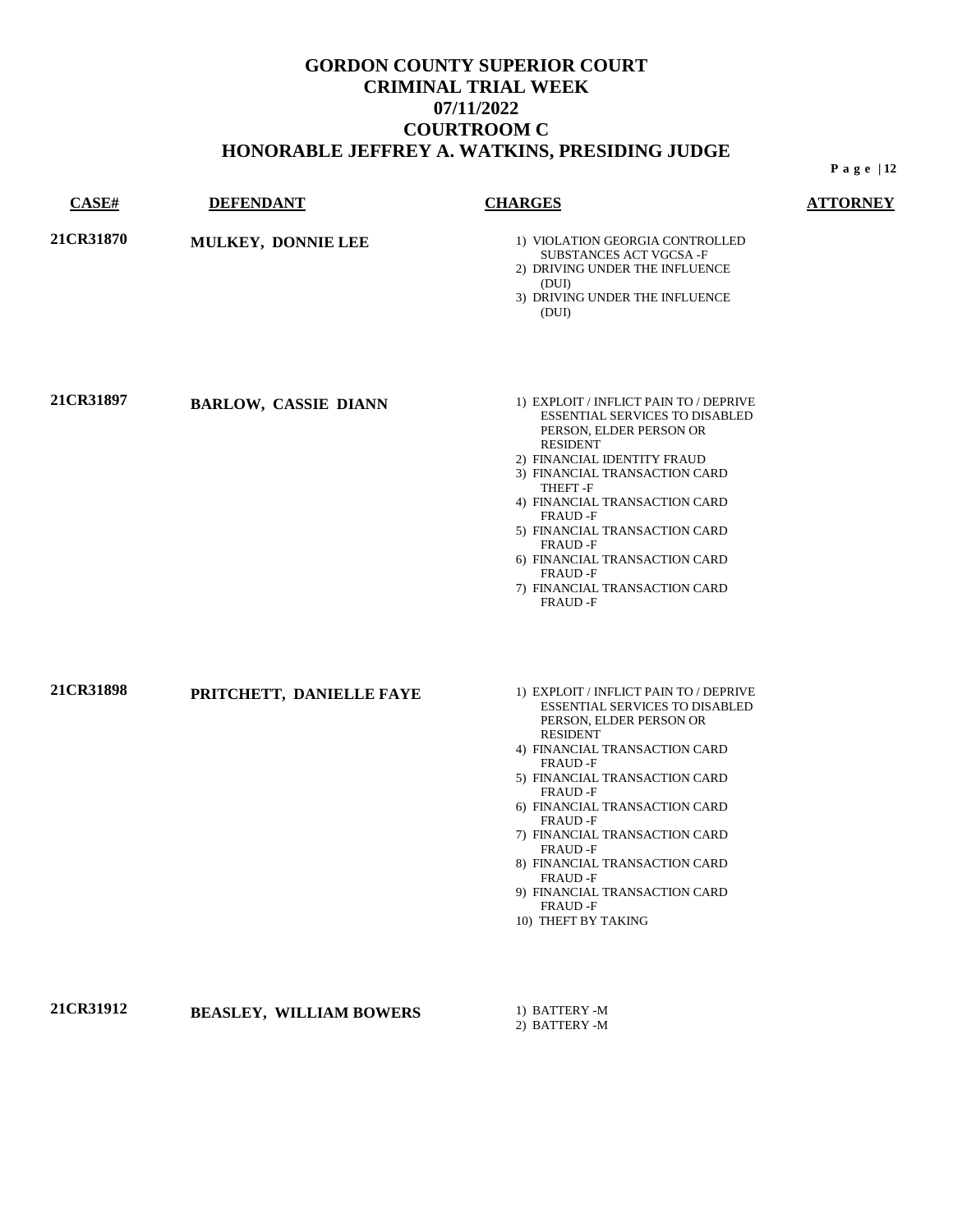|                  |                                |                                                                                                                                                                                                                                                                                                                                                                                                                                                    | Page $ 12$      |
|------------------|--------------------------------|----------------------------------------------------------------------------------------------------------------------------------------------------------------------------------------------------------------------------------------------------------------------------------------------------------------------------------------------------------------------------------------------------------------------------------------------------|-----------------|
| CASE#            | <b>DEFENDANT</b>               | <b>CHARGES</b>                                                                                                                                                                                                                                                                                                                                                                                                                                     | <b>ATTORNEY</b> |
| <b>21CR31870</b> | MULKEY, DONNIE LEE             | 1) VIOLATION GEORGIA CONTROLLED<br>SUBSTANCES ACT VGCSA-F<br>2) DRIVING UNDER THE INFLUENCE<br>(DUI)<br>3) DRIVING UNDER THE INFLUENCE<br>(DUI)                                                                                                                                                                                                                                                                                                    |                 |
| <b>21CR31897</b> | <b>BARLOW, CASSIE DIANN</b>    | 1) EXPLOIT / INFLICT PAIN TO / DEPRIVE<br><b>ESSENTIAL SERVICES TO DISABLED</b><br>PERSON, ELDER PERSON OR<br><b>RESIDENT</b><br>2) FINANCIAL IDENTITY FRAUD<br>3) FINANCIAL TRANSACTION CARD<br>THEFT-F<br>4) FINANCIAL TRANSACTION CARD<br>FRAUD -F<br>5) FINANCIAL TRANSACTION CARD<br><b>FRAUD-F</b><br>6) FINANCIAL TRANSACTION CARD<br><b>FRAUD-F</b><br>7) FINANCIAL TRANSACTION CARD<br><b>FRAUD-F</b>                                     |                 |
| <b>21CR31898</b> | PRITCHETT, DANIELLE FAYE       | 1) EXPLOIT / INFLICT PAIN TO / DEPRIVE<br><b>ESSENTIAL SERVICES TO DISABLED</b><br>PERSON, ELDER PERSON OR<br><b>RESIDENT</b><br>4) FINANCIAL TRANSACTION CARD<br><b>FRAUD-F</b><br>5) FINANCIAL TRANSACTION CARD<br>FRAUD-F<br>6) FINANCIAL TRANSACTION CARD<br><b>FRAUD -F</b><br>7) FINANCIAL TRANSACTION CARD<br>FRAUD-F<br>8) FINANCIAL TRANSACTION CARD<br><b>FRAUD-F</b><br>9) FINANCIAL TRANSACTION CARD<br>FRAUD-F<br>10) THEFT BY TAKING |                 |
| <b>21CR31912</b> | <b>BEASLEY, WILLIAM BOWERS</b> | 1) BATTERY -M<br>2) BATTERY -M                                                                                                                                                                                                                                                                                                                                                                                                                     |                 |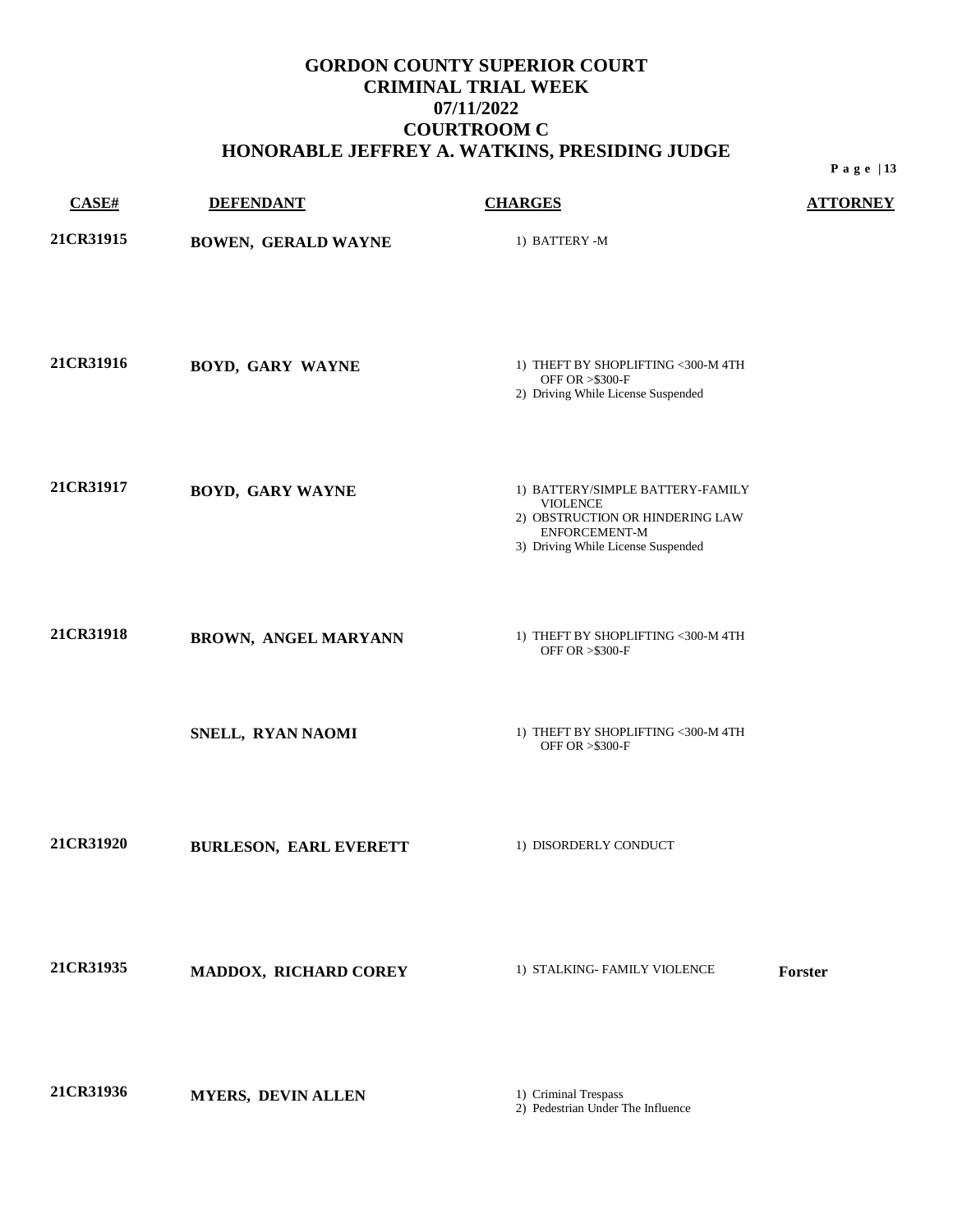|           |                               |                                                                                                                                               | Page $ 13$      |
|-----------|-------------------------------|-----------------------------------------------------------------------------------------------------------------------------------------------|-----------------|
| CASE#     | <b>DEFENDANT</b>              | <b>CHARGES</b>                                                                                                                                | <b>ATTORNEY</b> |
| 21CR31915 | <b>BOWEN, GERALD WAYNE</b>    | 1) BATTERY -M                                                                                                                                 |                 |
| 21CR31916 | BOYD, GARY WAYNE              | 1) THEFT BY SHOPLIFTING <300-M 4TH<br>OFF OR > \$300-F<br>2) Driving While License Suspended                                                  |                 |
| 21CR31917 | <b>BOYD, GARY WAYNE</b>       | 1) BATTERY/SIMPLE BATTERY-FAMILY<br><b>VIOLENCE</b><br>2) OBSTRUCTION OR HINDERING LAW<br>ENFORCEMENT-M<br>3) Driving While License Suspended |                 |
| 21CR31918 | BROWN, ANGEL MARYANN          | 1) THEFT BY SHOPLIFTING <300-M 4TH<br>OFF OR > \$300-F                                                                                        |                 |
|           | SNELL, RYAN NAOMI             | 1) THEFT BY SHOPLIFTING <300-M 4TH<br>OFF OR > \$300-F                                                                                        |                 |
| 21CR31920 | <b>BURLESON, EARL EVERETT</b> | 1) DISORDERLY CONDUCT                                                                                                                         |                 |
| 21CR31935 | MADDOX, RICHARD COREY         | 1) STALKING- FAMILY VIOLENCE                                                                                                                  | <b>Forster</b>  |
| 21CR31936 | MYERS, DEVIN ALLEN            | 1) Criminal Trespass                                                                                                                          |                 |

2) Pedestrian Under The Influence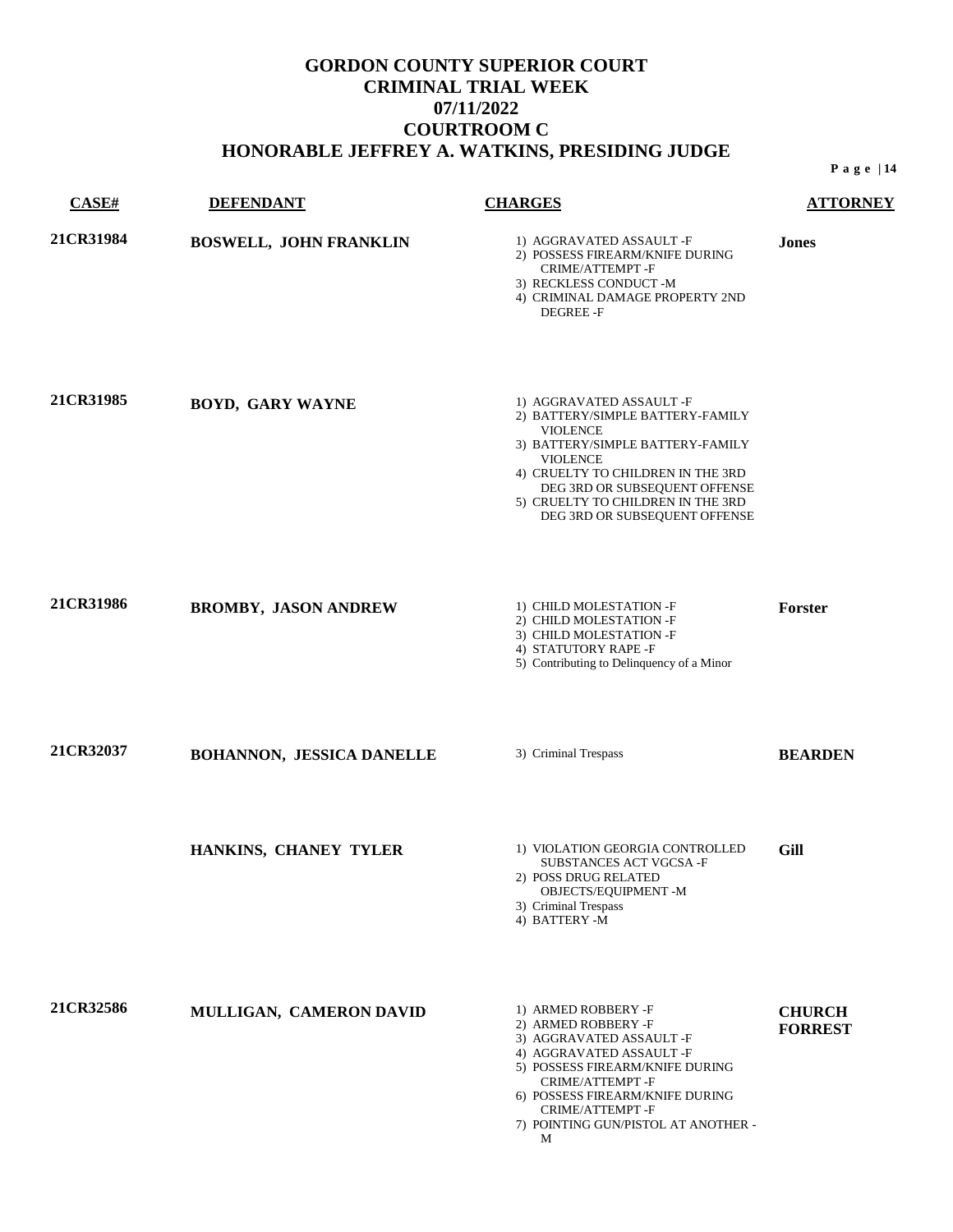| CASE#     | <b>DEFENDANT</b>              | <b>CHARGES</b>                                                                                                                                                                                                                                                                     | <b>ATTORNEY</b>                 |
|-----------|-------------------------------|------------------------------------------------------------------------------------------------------------------------------------------------------------------------------------------------------------------------------------------------------------------------------------|---------------------------------|
| 21CR31984 | <b>BOSWELL, JOHN FRANKLIN</b> | 1) AGGRAVATED ASSAULT -F<br>2) POSSESS FIREARM/KNIFE DURING<br>CRIME/ATTEMPT-F<br>3) RECKLESS CONDUCT -M<br>4) CRIMINAL DAMAGE PROPERTY 2ND<br><b>DEGREE-F</b>                                                                                                                     | <b>Jones</b>                    |
| 21CR31985 | <b>BOYD, GARY WAYNE</b>       | 1) AGGRAVATED ASSAULT -F<br>2) BATTERY/SIMPLE BATTERY-FAMILY<br><b>VIOLENCE</b><br>3) BATTERY/SIMPLE BATTERY-FAMILY<br><b>VIOLENCE</b><br>4) CRUELTY TO CHILDREN IN THE 3RD<br>DEG 3RD OR SUBSEQUENT OFFENSE<br>5) CRUELTY TO CHILDREN IN THE 3RD<br>DEG 3RD OR SUBSEQUENT OFFENSE |                                 |
| 21CR31986 | <b>BROMBY, JASON ANDREW</b>   | 1) CHILD MOLESTATION -F<br>2) CHILD MOLESTATION -F<br>3) CHILD MOLESTATION -F<br>4) STATUTORY RAPE -F<br>5) Contributing to Delinquency of a Minor                                                                                                                                 | <b>Forster</b>                  |
| 21CR32037 | BOHANNON, JESSICA DANELLE     | 3) Criminal Trespass                                                                                                                                                                                                                                                               | <b>BEARDEN</b>                  |
|           | HANKINS, CHANEY TYLER         | 1) VIOLATION GEORGIA CONTROLLED<br>SUBSTANCES ACT VGCSA-F<br>2) POSS DRUG RELATED<br>OBJECTS/EQUIPMENT -M<br>3) Criminal Trespass<br>4) BATTERY -M                                                                                                                                 | <b>Gill</b>                     |
| 21CR32586 | MULLIGAN, CAMERON DAVID       | 1) ARMED ROBBERY -F<br>2) ARMED ROBBERY -F<br>3) AGGRAVATED ASSAULT -F<br>4) AGGRAVATED ASSAULT -F<br>5) POSSESS FIREARM/KNIFE DURING<br>CRIME/ATTEMPT-F<br>6) POSSESS FIREARM/KNIFE DURING<br>CRIME/ATTEMPT-F<br>7) POINTING GUN/PISTOL AT ANOTHER -<br>М                         | <b>CHURCH</b><br><b>FORREST</b> |